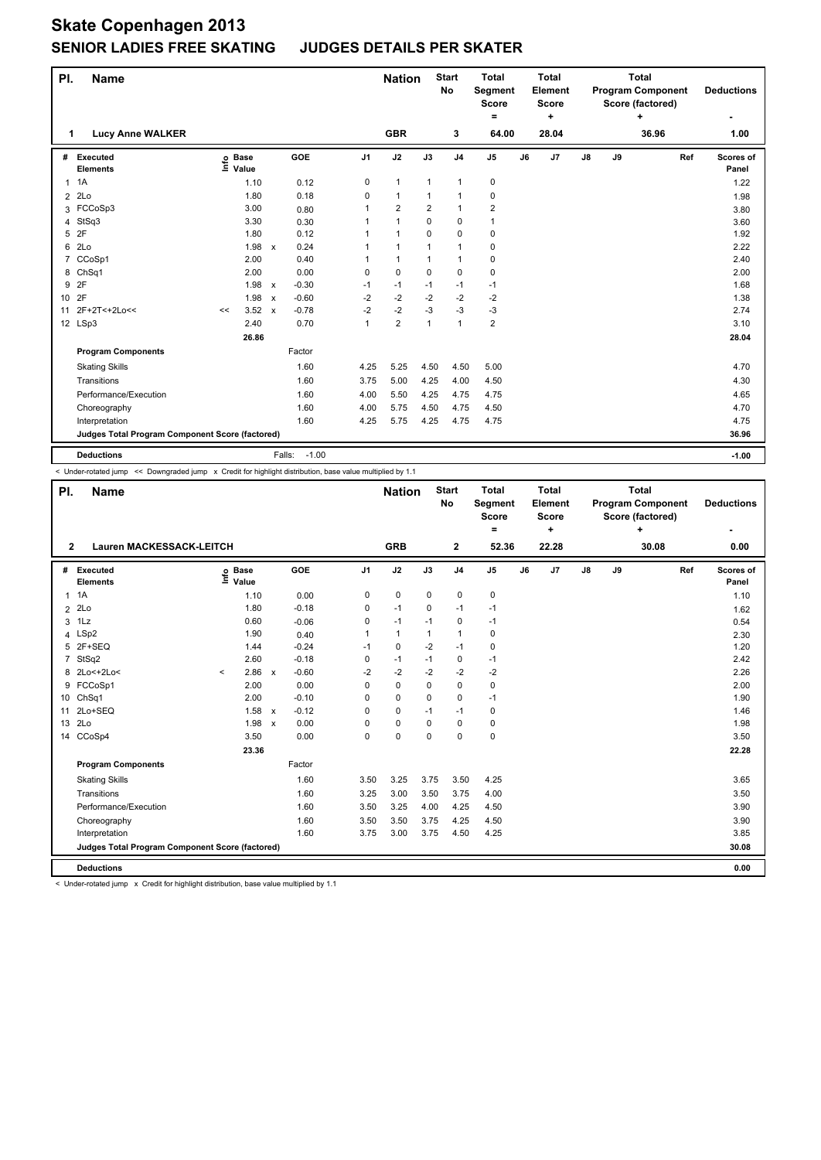## **Skate Copenhagen 2013 SENIOR LADIES FREE SKATING JUDGES DETAILS PER SKATER**

| PI.<br><b>Name</b> |                                                 |                           |                      |                           |                   |                | <b>Nation</b>  |                | <b>Start</b><br>No | <b>Total</b><br>Segment<br><b>Score</b><br>$=$ |    | <b>Total</b><br>Element<br><b>Score</b><br>٠ | <b>Total</b><br><b>Program Component</b><br>Score (factored)<br>÷ |    |       | <b>Deductions</b> |                    |
|--------------------|-------------------------------------------------|---------------------------|----------------------|---------------------------|-------------------|----------------|----------------|----------------|--------------------|------------------------------------------------|----|----------------------------------------------|-------------------------------------------------------------------|----|-------|-------------------|--------------------|
| 1.                 | <b>Lucy Anne WALKER</b>                         |                           |                      |                           |                   |                | <b>GBR</b>     |                | 3                  | 64.00                                          |    | 28.04                                        |                                                                   |    | 36.96 |                   | 1.00               |
| #                  | Executed<br><b>Elements</b>                     | $\mathsf{Int} \mathsf{o}$ | <b>Base</b><br>Value |                           | GOE               | J <sub>1</sub> | J2             | J3             | J <sub>4</sub>     | J5                                             | J6 | J7                                           | $\mathsf{J}8$                                                     | J9 |       | Ref               | Scores of<br>Panel |
| 1                  | 1A                                              |                           | 1.10                 |                           | 0.12              | 0              | $\mathbf{1}$   | $\mathbf{1}$   | 1                  | 0                                              |    |                                              |                                                                   |    |       |                   | 1.22               |
| $\overline{2}$     | 2Lo                                             |                           | 1.80                 |                           | 0.18              | 0              | $\mathbf{1}$   | $\mathbf{1}$   | $\mathbf{1}$       | 0                                              |    |                                              |                                                                   |    |       |                   | 1.98               |
|                    | 3 FCCoSp3                                       |                           | 3.00                 |                           | 0.80              |                | $\overline{2}$ | $\overline{2}$ | $\mathbf{1}$       | 2                                              |    |                                              |                                                                   |    |       |                   | 3.80               |
| 4                  | StSq3                                           |                           | 3.30                 |                           | 0.30              |                | $\mathbf{1}$   | 0              | $\pmb{0}$          | 1                                              |    |                                              |                                                                   |    |       |                   | 3.60               |
| 5                  | 2F                                              |                           | 1.80                 |                           | 0.12              |                | $\mathbf{1}$   | 0              | $\mathbf 0$        | 0                                              |    |                                              |                                                                   |    |       |                   | 1.92               |
| 6                  | 2Lo                                             |                           | 1.98                 | $\mathsf{x}$              | 0.24              |                | $\mathbf{1}$   | $\mathbf 1$    | $\mathbf{1}$       | $\mathbf 0$                                    |    |                                              |                                                                   |    |       |                   | 2.22               |
| 7                  | CCoSp1                                          |                           | 2.00                 |                           | 0.40              |                | $\mathbf{1}$   | 1              | 1                  | 0                                              |    |                                              |                                                                   |    |       |                   | 2.40               |
| 8                  | Ch <sub>Sq1</sub>                               |                           | 2.00                 |                           | 0.00              | 0              | $\mathbf 0$    | $\Omega$       | $\mathbf 0$        | 0                                              |    |                                              |                                                                   |    |       |                   | 2.00               |
| 9                  | 2F                                              |                           | 1.98                 | $\boldsymbol{\mathsf{x}}$ | $-0.30$           | $-1$           | $-1$           | $-1$           | $-1$               | $-1$                                           |    |                                              |                                                                   |    |       |                   | 1.68               |
| 10 <sup>1</sup>    | 2F                                              |                           | 1.98                 | $\mathsf{x}$              | $-0.60$           | $-2$           | $-2$           | $-2$           | $-2$               | $-2$                                           |    |                                              |                                                                   |    |       |                   | 1.38               |
| 11                 | 2F+2T<+2Lo<<                                    | <<                        | 3.52                 | $\boldsymbol{\mathsf{x}}$ | $-0.78$           | $-2$           | $-2$           | -3             | $-3$               | $-3$                                           |    |                                              |                                                                   |    |       |                   | 2.74               |
|                    | 12 LSp3                                         |                           | 2.40                 |                           | 0.70              | 1              | $\overline{2}$ | $\mathbf{1}$   | $\mathbf{1}$       | $\overline{2}$                                 |    |                                              |                                                                   |    |       |                   | 3.10               |
|                    |                                                 |                           | 26.86                |                           |                   |                |                |                |                    |                                                |    |                                              |                                                                   |    |       |                   | 28.04              |
|                    | <b>Program Components</b>                       |                           |                      |                           | Factor            |                |                |                |                    |                                                |    |                                              |                                                                   |    |       |                   |                    |
|                    | <b>Skating Skills</b>                           |                           |                      |                           | 1.60              | 4.25           | 5.25           | 4.50           | 4.50               | 5.00                                           |    |                                              |                                                                   |    |       |                   | 4.70               |
|                    | Transitions                                     |                           |                      |                           | 1.60              | 3.75           | 5.00           | 4.25           | 4.00               | 4.50                                           |    |                                              |                                                                   |    |       |                   | 4.30               |
|                    | Performance/Execution                           |                           |                      |                           | 1.60              | 4.00           | 5.50           | 4.25           | 4.75               | 4.75                                           |    |                                              |                                                                   |    |       |                   | 4.65               |
|                    | Choreography                                    |                           |                      |                           | 1.60              | 4.00           | 5.75           | 4.50           | 4.75               | 4.50                                           |    |                                              |                                                                   |    |       |                   | 4.70               |
|                    | Interpretation                                  |                           |                      |                           | 1.60              | 4.25           | 5.75           | 4.25           | 4.75               | 4.75                                           |    |                                              |                                                                   |    |       |                   | 4.75               |
|                    | Judges Total Program Component Score (factored) |                           |                      |                           |                   |                |                |                |                    |                                                |    |                                              |                                                                   |    |       |                   | 36.96              |
|                    | <b>Deductions</b>                               |                           |                      |                           | $-1.00$<br>Falls: |                |                |                |                    |                                                |    |                                              |                                                                   |    |       |                   | $-1.00$            |

< Under-rotated jump << Downgraded jump x Credit for highlight distribution, base value multiplied by 1.1

| PI.            | <b>Name</b>                                     |         |                            |                           |              |                | <b>Nation</b> |              | <b>Start</b><br><b>No</b> | <b>Total</b><br>Segment<br><b>Score</b><br>$\equiv$ |       | <b>Total</b><br>Element<br><b>Score</b><br>÷ |               |    | Total<br><b>Program Component</b><br>Score (factored)<br>÷ |     | <b>Deductions</b>  |
|----------------|-------------------------------------------------|---------|----------------------------|---------------------------|--------------|----------------|---------------|--------------|---------------------------|-----------------------------------------------------|-------|----------------------------------------------|---------------|----|------------------------------------------------------------|-----|--------------------|
| $\overline{2}$ | <b>Lauren MACKESSACK-LEITCH</b>                 |         | <b>GRB</b>                 |                           | $\mathbf{2}$ | 52.36          |               | 22.28        |                           |                                                     | 30.08 |                                              | 0.00          |    |                                                            |     |                    |
| #              | Executed<br><b>Elements</b>                     |         | e Base<br>E Value<br>Value |                           | GOE          | J <sub>1</sub> | J2            | J3           | J <sub>4</sub>            | J5                                                  | J6    | J7                                           | $\mathsf{J}8$ | J9 |                                                            | Ref | Scores of<br>Panel |
| $\overline{1}$ | 1A                                              |         | 1.10                       |                           | 0.00         | 0              | 0             | $\mathbf 0$  | $\mathbf 0$               | 0                                                   |       |                                              |               |    |                                                            |     | 1.10               |
| $\overline{2}$ | 2Lo                                             |         | 1.80                       |                           | $-0.18$      | 0              | $-1$          | 0            | $-1$                      | $-1$                                                |       |                                              |               |    |                                                            |     | 1.62               |
| 3              | 1Lz                                             |         | 0.60                       |                           | $-0.06$      | 0              | $-1$          | $-1$         | $\mathbf 0$               | $-1$                                                |       |                                              |               |    |                                                            |     | 0.54               |
| 4              | LSp2                                            |         | 1.90                       |                           | 0.40         | 1              | $\mathbf{1}$  | $\mathbf{1}$ | $\mathbf{1}$              | 0                                                   |       |                                              |               |    |                                                            |     | 2.30               |
| 5              | 2F+SEQ                                          |         | 1.44                       |                           | $-0.24$      | $-1$           | 0             | $-2$         | $-1$                      | 0                                                   |       |                                              |               |    |                                                            |     | 1.20               |
| $\overline{7}$ | StSq2                                           |         | 2.60                       |                           | $-0.18$      | 0              | $-1$          | $-1$         | $\mathbf 0$               | $-1$                                                |       |                                              |               |    |                                                            |     | 2.42               |
|                | 8 2Lo<+2Lo<                                     | $\prec$ | 2.86                       | $\mathsf{x}$              | $-0.60$      | $-2$           | $-2$          | $-2$         | $-2$                      | $-2$                                                |       |                                              |               |    |                                                            |     | 2.26               |
| 9              | FCCoSp1                                         |         | 2.00                       |                           | 0.00         | $\Omega$       | 0             | $\Omega$     | $\Omega$                  | 0                                                   |       |                                              |               |    |                                                            |     | 2.00               |
|                | 10 ChSq1                                        |         | 2.00                       |                           | $-0.10$      | $\Omega$       | $\mathbf 0$   | 0            | $\Omega$                  | $-1$                                                |       |                                              |               |    |                                                            |     | 1.90               |
| 11             | 2Lo+SEQ                                         |         | 1.58                       | $\mathsf{x}$              | $-0.12$      | 0              | $\mathbf 0$   | $-1$         | $-1$                      | 0                                                   |       |                                              |               |    |                                                            |     | 1.46               |
| 13             | 2Lo                                             |         | 1.98                       | $\boldsymbol{\mathsf{x}}$ | 0.00         | $\Omega$       | 0             | 0            | $\mathbf 0$               | 0                                                   |       |                                              |               |    |                                                            |     | 1.98               |
|                | 14 CCoSp4                                       |         | 3.50                       |                           | 0.00         | $\Omega$       | 0             | 0            | $\Omega$                  | 0                                                   |       |                                              |               |    |                                                            |     | 3.50               |
|                |                                                 |         | 23.36                      |                           |              |                |               |              |                           |                                                     |       |                                              |               |    |                                                            |     | 22.28              |
|                | <b>Program Components</b>                       |         |                            |                           | Factor       |                |               |              |                           |                                                     |       |                                              |               |    |                                                            |     |                    |
|                | <b>Skating Skills</b>                           |         |                            |                           | 1.60         | 3.50           | 3.25          | 3.75         | 3.50                      | 4.25                                                |       |                                              |               |    |                                                            |     | 3.65               |
|                | Transitions                                     |         |                            |                           | 1.60         | 3.25           | 3.00          | 3.50         | 3.75                      | 4.00                                                |       |                                              |               |    |                                                            |     | 3.50               |
|                | Performance/Execution                           |         |                            |                           | 1.60         | 3.50           | 3.25          | 4.00         | 4.25                      | 4.50                                                |       |                                              |               |    |                                                            |     | 3.90               |
|                | Choreography                                    |         |                            |                           | 1.60         | 3.50           | 3.50          | 3.75         | 4.25                      | 4.50                                                |       |                                              |               |    |                                                            |     | 3.90               |
|                | Interpretation                                  |         |                            |                           | 1.60         | 3.75           | 3.00          | 3.75         | 4.50                      | 4.25                                                |       |                                              |               |    |                                                            |     | 3.85               |
|                | Judges Total Program Component Score (factored) |         |                            |                           |              |                |               |              |                           |                                                     |       |                                              |               |    |                                                            |     | 30.08              |
|                | <b>Deductions</b>                               |         |                            |                           |              |                |               |              |                           |                                                     |       |                                              |               |    |                                                            |     | 0.00               |

< Under-rotated jump x Credit for highlight distribution, base value multiplied by 1.1